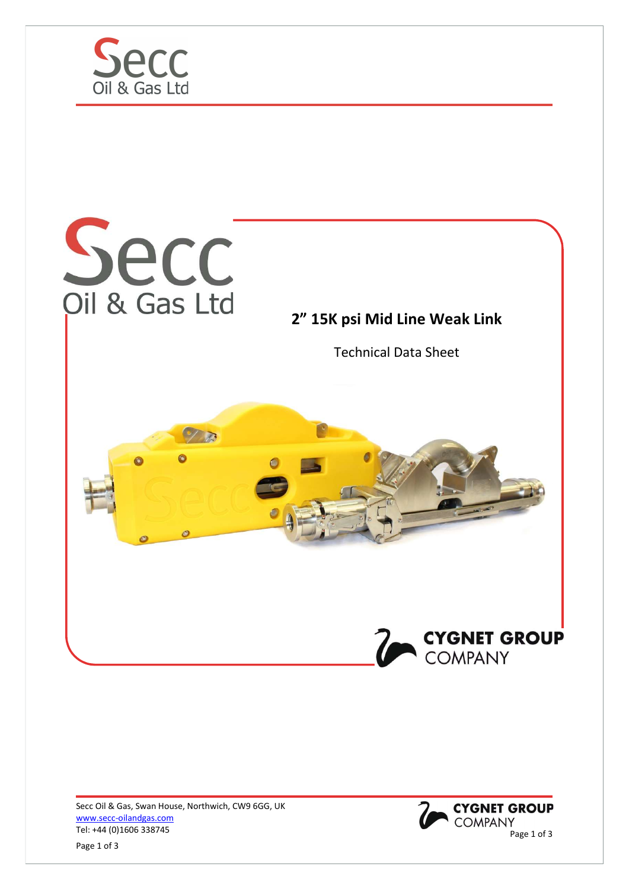





Page 1 of 3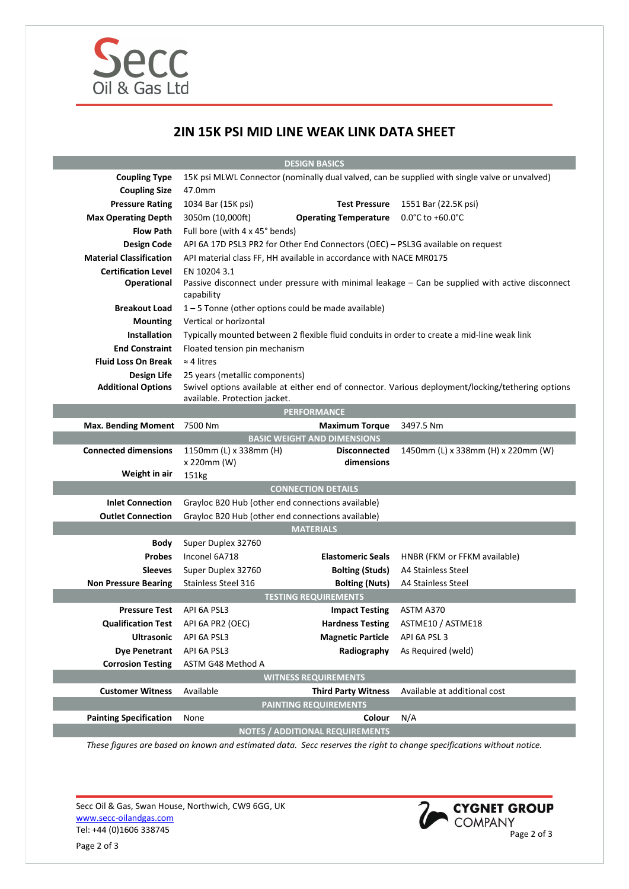

## 2IN 15K PSI MID LINE WEAK LINK DATA SHEET

| <b>DESIGN BASICS</b>                                         |                                                                                                                                                                      |                              |                                       |
|--------------------------------------------------------------|----------------------------------------------------------------------------------------------------------------------------------------------------------------------|------------------------------|---------------------------------------|
| <b>Coupling Type</b>                                         | 15K psi MLWL Connector (nominally dual valved, can be supplied with single valve or unvalved)                                                                        |                              |                                       |
| <b>Coupling Size</b>                                         | 47.0mm                                                                                                                                                               |                              |                                       |
| <b>Pressure Rating</b>                                       | 1034 Bar (15K psi)                                                                                                                                                   | <b>Test Pressure</b>         | 1551 Bar (22.5K psi)                  |
| <b>Max Operating Depth</b>                                   | 3050m (10,000ft)                                                                                                                                                     | <b>Operating Temperature</b> | $0.0^{\circ}$ C to +60.0 $^{\circ}$ C |
| <b>Flow Path</b>                                             | Full bore (with 4 x 45° bends)                                                                                                                                       |                              |                                       |
| <b>Design Code</b>                                           | API 6A 17D PSL3 PR2 for Other End Connectors (OEC) - PSL3G available on request                                                                                      |                              |                                       |
| <b>Material Classification</b>                               | API material class FF, HH available in accordance with NACE MR0175                                                                                                   |                              |                                       |
| <b>Certification Level</b>                                   | EN 10204 3.1                                                                                                                                                         |                              |                                       |
| Operational                                                  | Passive disconnect under pressure with minimal leakage - Can be supplied with active disconnect<br>capability                                                        |                              |                                       |
| <b>Breakout Load</b>                                         | $1 - 5$ Tonne (other options could be made available)                                                                                                                |                              |                                       |
| <b>Mounting</b>                                              | Vertical or horizontal                                                                                                                                               |                              |                                       |
| <b>Installation</b>                                          | Typically mounted between 2 flexible fluid conduits in order to create a mid-line weak link                                                                          |                              |                                       |
| <b>End Constraint</b>                                        | Floated tension pin mechanism                                                                                                                                        |                              |                                       |
| <b>Fluid Loss On Break</b>                                   | $\approx$ 4 litres                                                                                                                                                   |                              |                                       |
| Design Life<br><b>Additional Options</b>                     | 25 years (metallic components)<br>Swivel options available at either end of connector. Various deployment/locking/tethering options<br>available. Protection jacket. |                              |                                       |
| <b>PERFORMANCE</b>                                           |                                                                                                                                                                      |                              |                                       |
| <b>Max. Bending Moment</b>                                   | 7500 Nm                                                                                                                                                              | <b>Maximum Torque</b>        | 3497.5 Nm                             |
| <b>BASIC WEIGHT AND DIMENSIONS</b>                           |                                                                                                                                                                      |                              |                                       |
| <b>Connected dimensions</b>                                  | 1150mm (L) x 338mm (H)                                                                                                                                               | <b>Disconnected</b>          | 1450mm (L) x 338mm (H) x 220mm (W)    |
|                                                              | x 220mm (W)                                                                                                                                                          | dimensions                   |                                       |
| Weight in air                                                | 151kg                                                                                                                                                                |                              |                                       |
| <b>CONNECTION DETAILS</b>                                    |                                                                                                                                                                      |                              |                                       |
| <b>Inlet Connection</b>                                      | Grayloc B20 Hub (other end connections available)                                                                                                                    |                              |                                       |
| <b>Outlet Connection</b>                                     | Grayloc B20 Hub (other end connections available)                                                                                                                    |                              |                                       |
|                                                              |                                                                                                                                                                      | <b>MATERIALS</b>             |                                       |
| Body                                                         | Super Duplex 32760                                                                                                                                                   |                              |                                       |
| <b>Probes</b>                                                | Inconel 6A718                                                                                                                                                        | <b>Elastomeric Seals</b>     | HNBR (FKM or FFKM available)          |
| <b>Sleeves</b>                                               | Super Duplex 32760                                                                                                                                                   | <b>Bolting (Studs)</b>       | A4 Stainless Steel                    |
| <b>Non Pressure Bearing</b>                                  | <b>Stainless Steel 316</b>                                                                                                                                           | <b>Bolting (Nuts)</b>        | A4 Stainless Steel                    |
| <b>TESTING REQUIREMENTS</b>                                  |                                                                                                                                                                      |                              |                                       |
| <b>Pressure Test</b>                                         | API 6A PSL3                                                                                                                                                          | <b>Impact Testing</b>        | ASTM A370                             |
| <b>Qualification Test</b>                                    | API 6A PR2 (OEC)                                                                                                                                                     | <b>Hardness Testing</b>      | ASTME10 / ASTME18                     |
| <b>Ultrasonic</b>                                            | API 6A PSL3                                                                                                                                                          | <b>Magnetic Particle</b>     | API 6A PSL 3                          |
| <b>Dye Penetrant</b>                                         | API 6A PSL3                                                                                                                                                          | Radiography                  | As Required (weld)                    |
| <b>Corrosion Testing</b>                                     | ASTM G48 Method A                                                                                                                                                    |                              |                                       |
| <b>WITNESS REQUIREMENTS</b>                                  |                                                                                                                                                                      |                              |                                       |
| <b>Customer Witness</b>                                      | Available                                                                                                                                                            | <b>Third Party Witness</b>   | Available at additional cost          |
| <b>PAINTING REQUIREMENTS</b>                                 |                                                                                                                                                                      |                              |                                       |
| <b>Painting Specification</b>                                | None                                                                                                                                                                 | Colour                       | N/A                                   |
| <b>NOTES / ADDITIONAL REQUIREMENTS</b><br>$\sim$ finished as |                                                                                                                                                                      |                              |                                       |

These figures are based on known and estimated data. Secc reserves the right to change specifications without notice.

Secc Oil & Gas, Swan House, Northwich, CW9 6GG, UK www.secc-oilandgas.com WWW.secc-oilandgas.com<br>Tel: +44 (0)1606 338745 Page 2 of 3